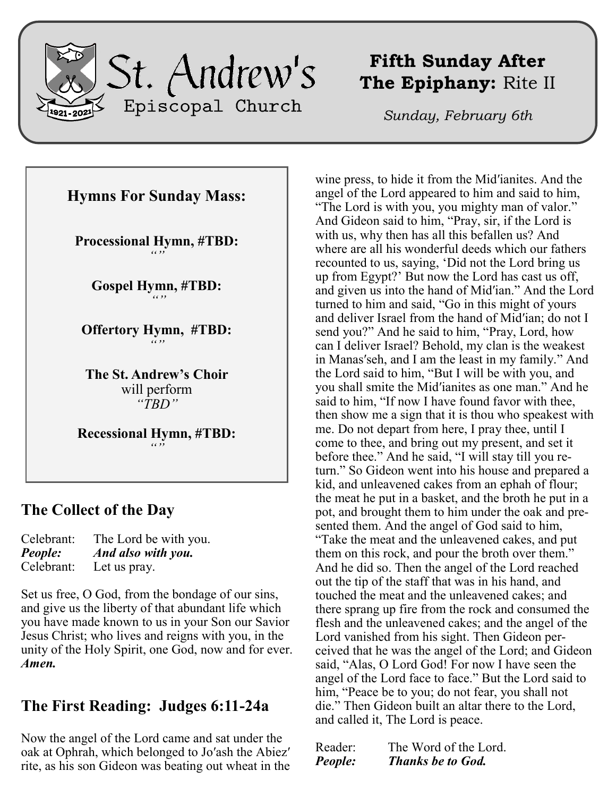

**Hymns For Sunday Mass: Processional Hymn, #TBD:** *""* **Gospel Hymn, #TBD:** *""* **Offertory Hymn, #TBD:** *""* **The St. Andrew's Choir** will perform *"TBD"* **Recessional Hymn, #TBD:**

### **The Collect of the Day**

| Celebrant:     | The Lord be with you. |
|----------------|-----------------------|
| <b>People:</b> | And also with you.    |
| Celebrant:     | Let us pray.          |

Set us free, O God, from the bondage of our sins, and give us the liberty of that abundant life which you have made known to us in your Son our Savior Jesus Christ; who lives and reigns with you, in the unity of the Holy Spirit, one God, now and for ever. *Amen.*

*""*

# **The First Reading: Judges 6:11-24a**

Now the angel of the Lord came and sat under the oak at Ophrah, which belonged to Jo′ash the Abiez′ rite, as his son Gideon was beating out wheat in the

# **Fifth Sunday After The Epiphany:** Rite II

*Sunday, February 6th*

wine press, to hide it from the Mid′ianites. And the angel of the Lord appeared to him and said to him, "The Lord is with you, you mighty man of valor." And Gideon said to him, "Pray, sir, if the Lord is with us, why then has all this befallen us? And where are all his wonderful deeds which our fathers recounted to us, saying, 'Did not the Lord bring us up from Egypt?' But now the Lord has cast us off, and given us into the hand of Mid′ian." And the Lord turned to him and said, "Go in this might of yours and deliver Israel from the hand of Mid′ian; do not I send you?" And he said to him, "Pray, Lord, how can I deliver Israel? Behold, my clan is the weakest in Manas′seh, and I am the least in my family." And the Lord said to him, "But I will be with you, and you shall smite the Mid′ianites as one man." And he said to him, "If now I have found favor with thee, then show me a sign that it is thou who speakest with me. Do not depart from here, I pray thee, until I come to thee, and bring out my present, and set it before thee." And he said, "I will stay till you return." So Gideon went into his house and prepared a kid, and unleavened cakes from an ephah of flour; the meat he put in a basket, and the broth he put in a pot, and brought them to him under the oak and presented them. And the angel of God said to him, "Take the meat and the unleavened cakes, and put them on this rock, and pour the broth over them." And he did so. Then the angel of the Lord reached out the tip of the staff that was in his hand, and touched the meat and the unleavened cakes; and there sprang up fire from the rock and consumed the flesh and the unleavened cakes; and the angel of the Lord vanished from his sight. Then Gideon perceived that he was the angel of the Lord; and Gideon said, "Alas, O Lord God! For now I have seen the angel of the Lord face to face." But the Lord said to him, "Peace be to you; do not fear, you shall not die." Then Gideon built an altar there to the Lord, and called it, The Lord is peace.

| Reader: | The Word of the Lord.    |
|---------|--------------------------|
| People: | <b>Thanks be to God.</b> |